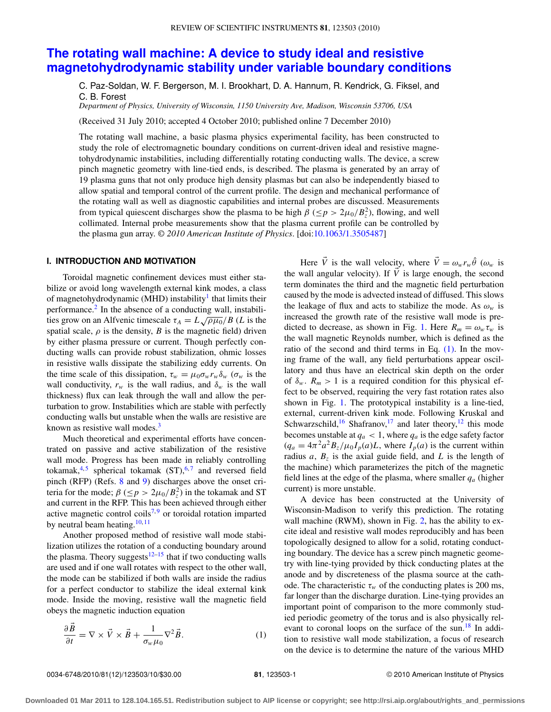# **[The rotating wall machine: A device to study ideal and resistive](http://dx.doi.org/10.1063/1.3505487) [magnetohydrodynamic stability under variable boundary conditions](http://dx.doi.org/10.1063/1.3505487)**

C. Paz-Soldan, W. F. Bergerson, M. I. Brookhart, D. A. Hannum, R. Kendrick, G. Fiksel, and C. B. Forest

*Department of Physics, University of Wisconsin, 1150 University Ave, Madison, Wisconsin 53706, USA*

(Received 31 July 2010; accepted 4 October 2010; published online 7 December 2010)

The rotating wall machine, a basic plasma physics experimental facility, has been constructed to study the role of electromagnetic boundary conditions on current-driven ideal and resistive magnetohydrodynamic instabilities, including differentially rotating conducting walls. The device, a screw pinch magnetic geometry with line-tied ends, is described. The plasma is generated by an array of 19 plasma guns that not only produce high density plasmas but can also be independently biased to allow spatial and temporal control of the current profile. The design and mechanical performance of the rotating wall as well as diagnostic capabilities and internal probes are discussed. Measurements from typical quiescent discharges show the plasma to be high  $\beta \leq p > 2\mu_0/B_z^2$ , flowing, and well collimated. Internal probe measurements show that the plasma current profile can be controlled by the plasma gun array. *© 2010 American Institute of Physics*. [doi[:10.1063/1.3505487\]](http://dx.doi.org/10.1063/1.3505487)

## <span id="page-0-1"></span>**I. INTRODUCTION AND MOTIVATION**

Toroidal magnetic confinement devices must either stabilize or avoid long wavelength external kink modes, a class of magnetohydrodynamic (MHD) instability<sup>1</sup> that limits their performance.[2](#page-8-1) In the absence of a conducting wall, instabilities grow on an Alfvenic timescale  $\tau_A = L \sqrt{\rho \mu_0}/B$  (*L* is the spatial scale,  $\rho$  is the density,  $B$  is the magnetic field) driven by either plasma pressure or current. Though perfectly conducting walls can provide robust stabilization, ohmic losses in resistive walls dissipate the stabilizing eddy currents. On the time scale of this dissipation,  $\tau_w = \mu_0 \sigma_w r_w \delta_w (\sigma_w$  is the wall conductivity,  $r_w$  is the wall radius, and  $\delta_w$  is the wall thickness) flux can leak through the wall and allow the perturbation to grow. Instabilities which are stable with perfectly conducting walls but unstable when the walls are resistive are known as resistive wall modes.<sup>[3](#page-8-2)</sup>

Much theoretical and experimental efforts have concentrated on passive and active stabilization of the resistive wall mode. Progress has been made in reliably controlling tokamak,<sup>[4,](#page-8-3)[5](#page-8-4)</sup> spherical tokamak  $(ST)$ ,<sup>[6,](#page-8-5)[7](#page-8-6)</sup> and reversed field pinch (RFP) (Refs. [8](#page-8-7) and [9\)](#page-8-8) discharges above the onset criteria for the mode;  $\beta$  ( $\leq p$  >  $2\mu_0/B_z^2$ ) in the tokamak and ST and current in the RFP. This has been achieved through either active magnetic control coils<sup>7,[9](#page-8-8)</sup> or toroidal rotation imparted by neutral beam heating. $10, 11$  $10, 11$  $10, 11$ 

Another proposed method of resistive wall mode stabilization utilizes the rotation of a conducting boundary around the plasma. Theory suggests $12-15$  $12-15$  that if two conducting walls are used and if one wall rotates with respect to the other wall, the mode can be stabilized if both walls are inside the radius for a perfect conductor to stabilize the ideal external kink mode. Inside the moving, resistive wall the magnetic field obeys the magnetic induction equation

<span id="page-0-0"></span>
$$
\frac{\partial \vec{B}}{\partial t} = \nabla \times \vec{V} \times \vec{B} + \frac{1}{\sigma_w \mu_0} \nabla^2 \vec{B}.
$$
 (1)

Here  $\vec{V}$  is the wall velocity, where  $\vec{V} = \omega_w r_w \hat{\theta}$  ( $\omega_w$  is the wall angular velocity). If  $\vec{V}$  is large enough, the second term dominates the third and the magnetic field perturbation caused by the mode is advected instead of diffused. This slows the leakage of flux and acts to stabilize the mode. As  $\omega_w$  is increased the growth rate of the resistive wall mode is pre-dicted to decrease, as shown in Fig. [1.](#page-1-0) Here  $R_m = \omega_w \tau_w$  is the wall magnetic Reynolds number, which is defined as the ratio of the second and third terms in Eq.  $(1)$ . In the moving frame of the wall, any field perturbations appear oscillatory and thus have an electrical skin depth on the order of  $\delta_w$ .  $R_m > 1$  is a required condition for this physical effect to be observed, requiring the very fast rotation rates also shown in Fig. [1.](#page-1-0) The prototypical instability is a line-tied, external, current-driven kink mode. Following Kruskal and Schwarzschild,<sup>[16](#page-8-13)</sup> Shafranov,<sup>[17](#page-8-14)</sup> and later theory,<sup>[12](#page-8-11)</sup> this mode becomes unstable at  $q_a < 1$ , where  $q_a$  is the edge safety factor  $(q_a = 4\pi^2 a^2 B_z / \mu_0 I_p(a) L$ , where  $I_p(a)$  is the current within radius  $a$ ,  $B_z$  is the axial guide field, and  $L$  is the length of the machine) which parameterizes the pitch of the magnetic field lines at the edge of the plasma, where smaller  $q_a$  (higher current) is more unstable.

A device has been constructed at the University of Wisconsin-Madison to verify this prediction. The rotating wall machine (RWM), shown in Fig. [2,](#page-1-1) has the ability to excite ideal and resistive wall modes reproducibly and has been topologically designed to allow for a solid, rotating conducting boundary. The device has a screw pinch magnetic geometry with line-tying provided by thick conducting plates at the anode and by discreteness of the plasma source at the cathode. The characteristic  $\tau_w$  of the conducting plates is 200 ms, far longer than the discharge duration. Line-tying provides an important point of comparison to the more commonly studied periodic geometry of the torus and is also physically rel-evant to coronal loops on the surface of the sun.<sup>[18](#page-8-15)</sup> In addition to resistive wall mode stabilization, a focus of research on the device is to determine the nature of the various MHD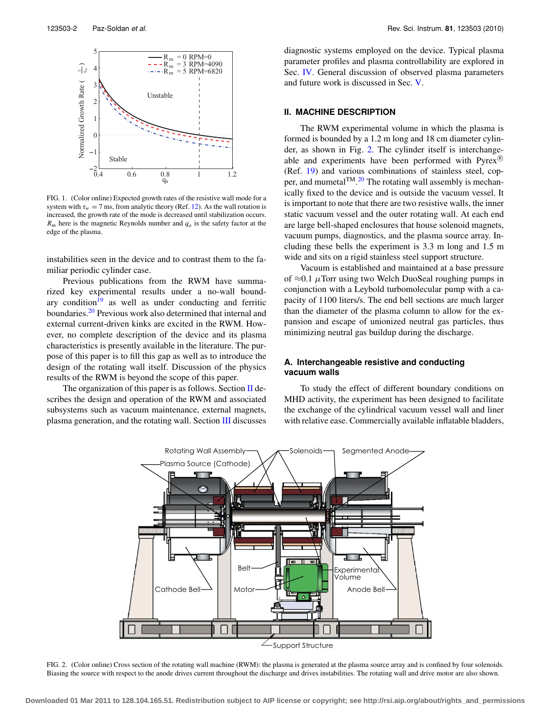<span id="page-1-0"></span>

FIG. 1. (Color online) Expected growth rates of the resistive wall mode for a system with  $\tau_w = 7$  ms, from analytic theory (Ref. [12\)](#page-8-11). As the wall rotation is increased, the growth rate of the mode is decreased until stabilization occurs.  $R_m$  here is the magnetic Reynolds number and  $q_a$  is the safety factor at the edge of the plasma.

instabilities seen in the device and to contrast them to the familiar periodic cylinder case.

Previous publications from the RWM have summarized key experimental results under a no-wall boundary condition $19$  as well as under conducting and ferritic boundaries[.20](#page-8-17) Previous work also determined that internal and external current-driven kinks are excited in the RWM. However, no complete description of the device and its plasma characteristics is presently available in the literature. The purpose of this paper is to fill this gap as well as to introduce the design of the rotating wall itself. Discussion of the physics results of the RWM is beyond the scope of this paper.

<span id="page-1-1"></span>The organization of this paper is as follows. Section  $\Pi$  describes the design and operation of the RWM and associated subsystems such as vacuum maintenance, external magnets, plasma generation, and the rotating wall. Section [III](#page-4-0) discusses diagnostic systems employed on the device. Typical plasma parameter profiles and plasma controllability are explored in Sec. [IV.](#page-5-0) General discussion of observed plasma parameters and future work is discussed in Sec. [V.](#page-7-0)

#### <span id="page-1-2"></span>**II. MACHINE DESCRIPTION**

The RWM experimental volume in which the plasma is formed is bounded by a 1.2 m long and 18 cm diameter cylinder, as shown in Fig. [2.](#page-1-1) The cylinder itself is interchangeable and experiments have been performed with  $Pyrex^{(8)}$ (Ref. [19\)](#page-8-16) and various combinations of stainless steel, cop-per, and mumetal<sup>TM</sup>.<sup>[20](#page-8-17)</sup> The rotating wall assembly is mechanically fixed to the device and is outside the vacuum vessel. It is important to note that there are two resistive walls, the inner static vacuum vessel and the outer rotating wall. At each end are large bell-shaped enclosures that house solenoid magnets, vacuum pumps, diagnostics, and the plasma source array. Including these bells the experiment is 3.3 m long and 1.5 m wide and sits on a rigid stainless steel support structure.

Vacuum is established and maintained at a base pressure of  $\approx 0.1$  µTorr using two Welch DuoSeal roughing pumps in conjunction with a Leybold turbomolecular pump with a capacity of 1100 liters/s. The end bell sections are much larger than the diameter of the plasma column to allow for the expansion and escape of unionized neutral gas particles, thus minimizing neutral gas buildup during the discharge.

## <span id="page-1-3"></span>**A. Interchangeable resistive and conducting vacuum walls**

To study the effect of different boundary conditions on MHD activity, the experiment has been designed to facilitate the exchange of the cylindrical vacuum vessel wall and liner with relative ease. Commercially available inflatable bladders,



FIG. 2. (Color online) Cross section of the rotating wall machine (RWM): the plasma is generated at the plasma source array and is confined by four solenoids. Biasing the source with respect to the anode drives current throughout the discharge and drives instabilities. The rotating wall and drive motor are also shown.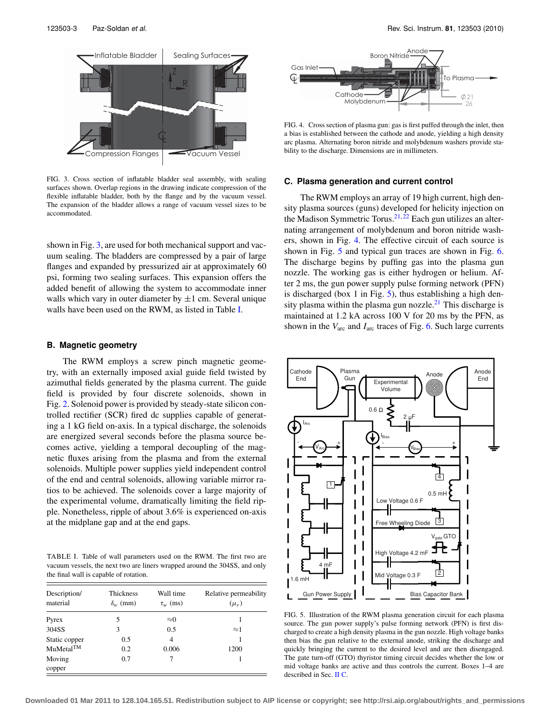<span id="page-2-0"></span>

FIG. 3. Cross section of inflatable bladder seal assembly, with sealing surfaces shown. Overlap regions in the drawing indicate compression of the flexible inflatable bladder, both by the flange and by the vacuum vessel. The expansion of the bladder allows a range of vacuum vessel sizes to be accommodated.

shown in Fig. [3,](#page-2-0) are used for both mechanical support and vacuum sealing. The bladders are compressed by a pair of large flanges and expanded by pressurized air at approximately 60 psi, forming two sealing surfaces. This expansion offers the added benefit of allowing the system to accommodate inner walls which vary in outer diameter by  $\pm 1$  cm. Several unique walls have been used on the RWM, as listed in Table [I.](#page-2-1)

## **B. Magnetic geometry**

The RWM employs a screw pinch magnetic geometry, with an externally imposed axial guide field twisted by azimuthal fields generated by the plasma current. The guide field is provided by four discrete solenoids, shown in Fig. [2.](#page-1-1) Solenoid power is provided by steady-state silicon controlled rectifier (SCR) fired dc supplies capable of generating a 1 kG field on-axis. In a typical discharge, the solenoids are energized several seconds before the plasma source becomes active, yielding a temporal decoupling of the magnetic fluxes arising from the plasma and from the external solenoids. Multiple power supplies yield independent control of the end and central solenoids, allowing variable mirror ratios to be achieved. The solenoids cover a large majority of the experimental volume, dramatically limiting the field ripple. Nonetheless, ripple of about 3.6% is experienced on-axis at the midplane gap and at the end gaps.

<span id="page-2-1"></span>TABLE I. Table of wall parameters used on the RWM. The first two are vacuum vessels, the next two are liners wrapped around the 304SS, and only the final wall is capable of rotation.

| Description/<br>material | <b>Thickness</b><br>$\delta_w$ (mm) | Wall time<br>$\tau_{w}$ (ms) | Relative permeability<br>$(\mu_r)$ |
|--------------------------|-------------------------------------|------------------------------|------------------------------------|
| Pyrex                    | 5                                   | $\approx 0$                  |                                    |
| 304SS                    | 3                                   | 0.5                          | $\approx$ 1                        |
| Static copper            | 0.5                                 | 4                            |                                    |
| MuMetal <sup>TM</sup>    | 0.2                                 | 0.006                        | 1200                               |
| Moving                   | 0.7                                 | 7                            |                                    |
| copper                   |                                     |                              |                                    |

<span id="page-2-2"></span>

FIG. 4. Cross section of plasma gun: gas is first puffed through the inlet, then a bias is established between the cathode and anode, yielding a high density arc plasma. Alternating boron nitride and molybdenum washers provide stability to the discharge. Dimensions are in millimeters.

### <span id="page-2-4"></span>**C. Plasma generation and current control**

The RWM employs an array of 19 high current, high density plasma sources (guns) developed for helicity injection on the Madison Symmetric Torus.<sup>21, [22](#page-9-1)</sup> Each gun utilizes an alternating arrangement of molybdenum and boron nitride washers, shown in Fig. [4.](#page-2-2) The effective circuit of each source is shown in Fig. [5](#page-2-3) and typical gun traces are shown in Fig. [6.](#page-3-0) The discharge begins by puffing gas into the plasma gun nozzle. The working gas is either hydrogen or helium. After 2 ms, the gun power supply pulse forming network (PFN) is discharged (box 1 in Fig. [5\)](#page-2-3), thus establishing a high den-sity plasma within the plasma gun nozzle.<sup>[21](#page-9-0)</sup> This discharge is maintained at 1.2 kA across 100 V for 20 ms by the PFN, as shown in the  $V_{\text{arc}}$  and  $I_{\text{arc}}$  traces of Fig. [6.](#page-3-0) Such large currents

<span id="page-2-3"></span>

FIG. 5. Illustration of the RWM plasma generation circuit for each plasma source. The gun power supply's pulse forming network (PFN) is first discharged to create a high density plasma in the gun nozzle. High voltage banks then bias the gun relative to the external anode, striking the discharge and quickly bringing the current to the desired level and are then disengaged. The gate turn-off (GTO) thyristor timing circuit decides whether the low or mid voltage banks are active and thus controls the current. Boxes 1–4 are described in Sec. [II](#page-1-2) [C.](#page-2-4)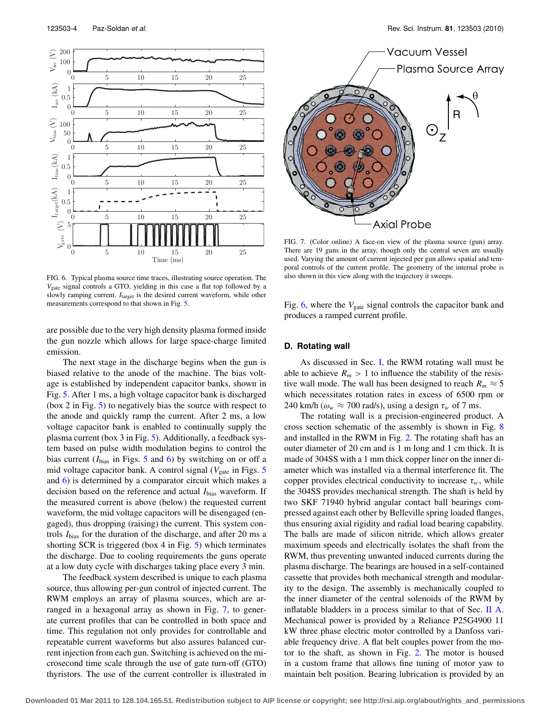<span id="page-3-0"></span>

FIG. 6. Typical plasma source time traces, illustrating source operation. The *V*gate signal controls a GTO, yielding in this case a flat top followed by a slowly ramping current. *I*target is the desired current waveform, while other measurements correspond to that shown in Fig. [5.](#page-2-3)

are possible due to the very high density plasma formed inside the gun nozzle which allows for large space-charge limited emission.

The next stage in the discharge begins when the gun is biased relative to the anode of the machine. The bias voltage is established by independent capacitor banks, shown in Fig. [5.](#page-2-3) After 1 ms, a high voltage capacitor bank is discharged (box 2 in Fig. [5\)](#page-2-3) to negatively bias the source with respect to the anode and quickly ramp the current. After 2 ms, a low voltage capacitor bank is enabled to continually supply the plasma current (box 3 in Fig. [5\)](#page-2-3). Additionally, a feedback system based on pulse width modulation begins to control the bias current (*I*bias in Figs. [5](#page-2-3) and [6\)](#page-3-0) by switching on or off a mid voltage capacitor bank. A control signal  $(V_{\text{gate}}$  in Figs.  $5$ and [6\)](#page-3-0) is determined by a comparator circuit which makes a decision based on the reference and actual *I*bias waveform. If the measured current is above (below) the requested current waveform, the mid voltage capacitors will be disengaged (engaged), thus dropping (raising) the current. This system controls *I*bias for the duration of the discharge, and after 20 ms a shorting SCR is triggered (box 4 in Fig. [5\)](#page-2-3) which terminates the discharge. Due to cooling requirements the guns operate at a low duty cycle with discharges taking place every 3 min.

The feedback system described is unique to each plasma source, thus allowing per-gun control of injected current. The RWM employs an array of plasma sources, which are arranged in a hexagonal array as shown in Fig. [7,](#page-3-1) to generate current profiles that can be controlled in both space and time. This regulation not only provides for controllable and repeatable current waveforms but also assures balanced current injection from each gun. Switching is achieved on the microsecond time scale through the use of gate turn-off (GTO) thyristors. The use of the current controller is illustrated in

<span id="page-3-1"></span>

FIG. 7. (Color online) A face-on view of the plasma source (gun) array. There are 19 guns in the array, though only the central seven are usually used. Varying the amount of current injected per gun allows spatial and temporal controls of the current profile. The geometry of the internal probe is also shown in this view along with the trajectory it sweeps.

Fig. [6,](#page-3-0) where the *V*<sub>gate</sub> signal controls the capacitor bank and produces a ramped current profile.

## <span id="page-3-2"></span>**D. Rotating wall**

As discussed in Sec. [I,](#page-0-1) the RWM rotating wall must be able to achieve  $R_m > 1$  to influence the stability of the resistive wall mode. The wall has been designed to reach  $R_m \approx 5$ which necessitates rotation rates in excess of 6500 rpm or 240 km/h ( $\omega_w \approx 700$  rad/s), using a design  $\tau_w$  of 7 ms.

The rotating wall is a precision-engineered product. A cross section schematic of the assembly is shown in Fig. [8](#page-4-1) and installed in the RWM in Fig. [2.](#page-1-1) The rotating shaft has an outer diameter of 20 cm and is 1 m long and 1 cm thick. It is made of 304SS with a 1 mm thick copper liner on the inner diameter which was installed via a thermal interference fit. The copper provides electrical conductivity to increase  $\tau_w$ , while the 304SS provides mechanical strength. The shaft is held by two SKF 71940 hybrid angular contact ball bearings compressed against each other by Belleville spring loaded flanges, thus ensuring axial rigidity and radial load bearing capability. The balls are made of silicon nitride, which allows greater maximum speeds and electrically isolates the shaft from the RWM, thus preventing unwanted induced currents during the plasma discharge. The bearings are housed in a self-contained cassette that provides both mechanical strength and modularity to the design. The assembly is mechanically coupled to the inner diameter of the central solenoids of the RWM by inflatable bladders in a process similar to that of Sec. [II](#page-1-2) [A.](#page-1-3) Mechanical power is provided by a Reliance P25G4900 11 kW three phase electric motor controlled by a Danfoss variable frequency drive. A flat belt couples power from the motor to the shaft, as shown in Fig. [2.](#page-1-1) The motor is housed in a custom frame that allows fine tuning of motor yaw to maintain belt position. Bearing lubrication is provided by an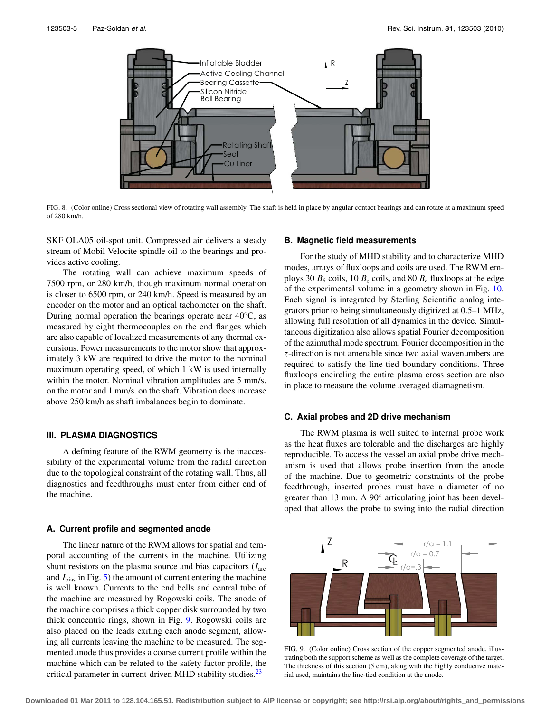<span id="page-4-1"></span>

FIG. 8. (Color online) Cross sectional view of rotating wall assembly. The shaft is held in place by angular contact bearings and can rotate at a maximum speed of 280 km/h.

SKF OLA05 oil-spot unit. Compressed air delivers a steady stream of Mobil Velocite spindle oil to the bearings and provides active cooling.

The rotating wall can achieve maximum speeds of 7500 rpm, or 280 km/h, though maximum normal operation is closer to 6500 rpm, or 240 km/h. Speed is measured by an encoder on the motor and an optical tachometer on the shaft. During normal operation the bearings operate near 40◦C, as measured by eight thermocouples on the end flanges which are also capable of localized measurements of any thermal excursions. Power measurements to the motor show that approximately 3 kW are required to drive the motor to the nominal maximum operating speed, of which 1 kW is used internally within the motor. Nominal vibration amplitudes are 5 mm/s. on the motor and 1 mm/s. on the shaft. Vibration does increase above 250 km/h as shaft imbalances begin to dominate.

# <span id="page-4-0"></span>**III. PLASMA DIAGNOSTICS**

A defining feature of the RWM geometry is the inaccessibility of the experimental volume from the radial direction due to the topological constraint of the rotating wall. Thus, all diagnostics and feedthroughs must enter from either end of the machine.

#### **A. Current profile and segmented anode**

The linear nature of the RWM allows for spatial and temporal accounting of the currents in the machine. Utilizing shunt resistors on the plasma source and bias capacitors (*I*arc and *I*bias in Fig. [5\)](#page-2-3) the amount of current entering the machine is well known. Currents to the end bells and central tube of the machine are measured by Rogowski coils. The anode of the machine comprises a thick copper disk surrounded by two thick concentric rings, shown in Fig. [9.](#page-4-2) Rogowski coils are also placed on the leads exiting each anode segment, allowing all currents leaving the machine to be measured. The segmented anode thus provides a coarse current profile within the machine which can be related to the safety factor profile, the critical parameter in current-driven MHD stability studies.<sup>23</sup>

#### **B. Magnetic field measurements**

For the study of MHD stability and to characterize MHD modes, arrays of fluxloops and coils are used. The RWM employs 30  $B_\theta$  coils, 10  $B_z$  coils, and 80  $B_r$  fluxloops at the edge of the experimental volume in a geometry shown in Fig. [10.](#page-5-1) Each signal is integrated by Sterling Scientific analog integrators prior to being simultaneously digitized at 0.5–1 MHz, allowing full resolution of all dynamics in the device. Simultaneous digitization also allows spatial Fourier decomposition of the azimuthal mode spectrum. Fourier decomposition in the *z*-direction is not amenable since two axial wavenumbers are required to satisfy the line-tied boundary conditions. Three fluxloops encircling the entire plasma cross section are also in place to measure the volume averaged diamagnetism.

#### <span id="page-4-3"></span>**C. Axial probes and 2D drive mechanism**

The RWM plasma is well suited to internal probe work as the heat fluxes are tolerable and the discharges are highly reproducible. To access the vessel an axial probe drive mechanism is used that allows probe insertion from the anode of the machine. Due to geometric constraints of the probe feedthrough, inserted probes must have a diameter of no greater than 13 mm. A 90<sup>○</sup> articulating joint has been developed that allows the probe to swing into the radial direction

<span id="page-4-2"></span>

FIG. 9. (Color online) Cross section of the copper segmented anode, illustrating both the support scheme as well as the complete coverage of the target. The thickness of this section (5 cm), along with the highly conductive material used, maintains the line-tied condition at the anode.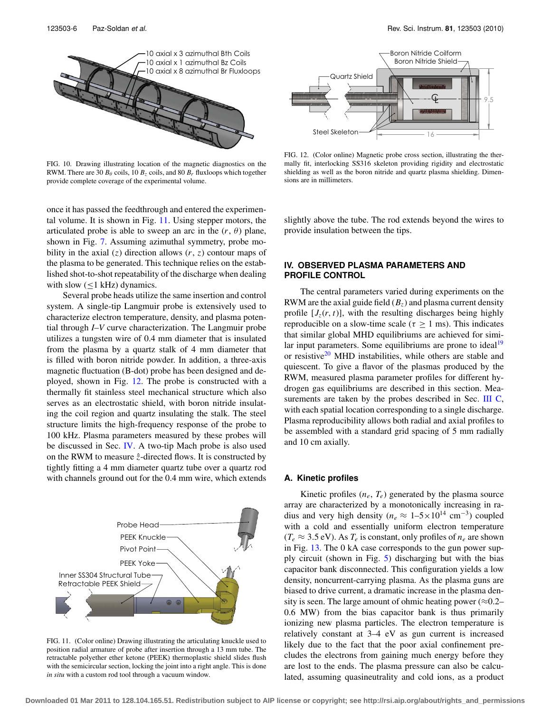<span id="page-5-1"></span>

FIG. 10. Drawing illustrating location of the magnetic diagnostics on the RWM. There are 30  $B_\theta$  coils, 10  $B_z$  coils, and 80  $B_r$  fluxloops which together provide complete coverage of the experimental volume.

once it has passed the feedthrough and entered the experimental volume. It is shown in Fig. [11.](#page-5-2) Using stepper motors, the articulated probe is able to sweep an arc in the  $(r, \theta)$  plane, shown in Fig. [7.](#page-3-1) Assuming azimuthal symmetry, probe mobility in the axial  $(z)$  direction allows  $(r, z)$  contour maps of the plasma to be generated. This technique relies on the established shot-to-shot repeatability of the discharge when dealing with slow  $(\leq 1$  kHz) dynamics.

Several probe heads utilize the same insertion and control system. A single-tip Langmuir probe is extensively used to characterize electron temperature, density, and plasma potential through *I*–*V* curve characterization. The Langmuir probe utilizes a tungsten wire of 0.4 mm diameter that is insulated from the plasma by a quartz stalk of 4 mm diameter that is filled with boron nitride powder. In addition, a three-axis magnetic fluctuation (B-dot) probe has been designed and deployed, shown in Fig. [12.](#page-5-3) The probe is constructed with a thermally fit stainless steel mechanical structure which also serves as an electrostatic shield, with boron nitride insulating the coil region and quartz insulating the stalk. The steel structure limits the high-frequency response of the probe to 100 kHz. Plasma parameters measured by these probes will be discussed in Sec. [IV.](#page-5-0) A two-tip Mach probe is also used on the RWM to measure  $\hat{z}$ -directed flows. It is constructed by tightly fitting a 4 mm diameter quartz tube over a quartz rod with channels ground out for the 0.4 mm wire, which extends

<span id="page-5-2"></span>

FIG. 11. (Color online) Drawing illustrating the articulating knuckle used to position radial armature of probe after insertion through a 13 mm tube. The retractable polyether ether ketone (PEEK) thermoplastic shield slides flush with the semicircular section, locking the joint into a right angle. This is done *in situ* with a custom rod tool through a vacuum window.

<span id="page-5-3"></span>

FIG. 12. (Color online) Magnetic probe cross section, illustrating the thermally fit, interlocking SS316 skeleton providing rigidity and electrostatic shielding as well as the boron nitride and quartz plasma shielding. Dimensions are in millimeters.

slightly above the tube. The rod extends beyond the wires to provide insulation between the tips.

## <span id="page-5-0"></span>**IV. OBSERVED PLASMA PARAMETERS AND PROFILE CONTROL**

The central parameters varied during experiments on the RWM are the axial guide field  $(B_z)$  and plasma current density profile  $[J_z(r, t)]$ , with the resulting discharges being highly reproducible on a slow-time scale ( $\tau \geq 1$  ms). This indicates that similar global MHD equilibriums are achieved for similar input parameters. Some equilibriums are prone to ideal<sup>19</sup> or resistive $20$  MHD instabilities, while others are stable and quiescent. To give a flavor of the plasmas produced by the RWM, measured plasma parameter profiles for different hydrogen gas equilibriums are described in this section. Mea-surements are taken by the probes described in Sec. [III](#page-4-0) [C,](#page-4-3) with each spatial location corresponding to a single discharge. Plasma reproducibility allows both radial and axial profiles to be assembled with a standard grid spacing of 5 mm radially and 10 cm axially.

## **A. Kinetic profiles**

Kinetic profiles  $(n_e, T_e)$  generated by the plasma source array are characterized by a monotonically increasing in radius and very high density ( $n_e \approx 1 - 5 \times 10^{14}$  cm<sup>-3</sup>) coupled with a cold and essentially uniform electron temperature  $(T_e \approx 3.5 \text{ eV})$ . As  $T_e$  is constant, only profiles of  $n_e$  are shown in Fig. [13.](#page-6-0) The 0 kA case corresponds to the gun power supply circuit (shown in Fig. [5\)](#page-2-3) discharging but with the bias capacitor bank disconnected. This configuration yields a low density, noncurrent-carrying plasma. As the plasma guns are biased to drive current, a dramatic increase in the plasma density is seen. The large amount of ohmic heating power ( $\approx 0.2-$ 0.6 MW) from the bias capacitor bank is thus primarily ionizing new plasma particles. The electron temperature is relatively constant at 3–4 eV as gun current is increased likely due to the fact that the poor axial confinement precludes the electrons from gaining much energy before they are lost to the ends. The plasma pressure can also be calculated, assuming quasineutrality and cold ions, as a product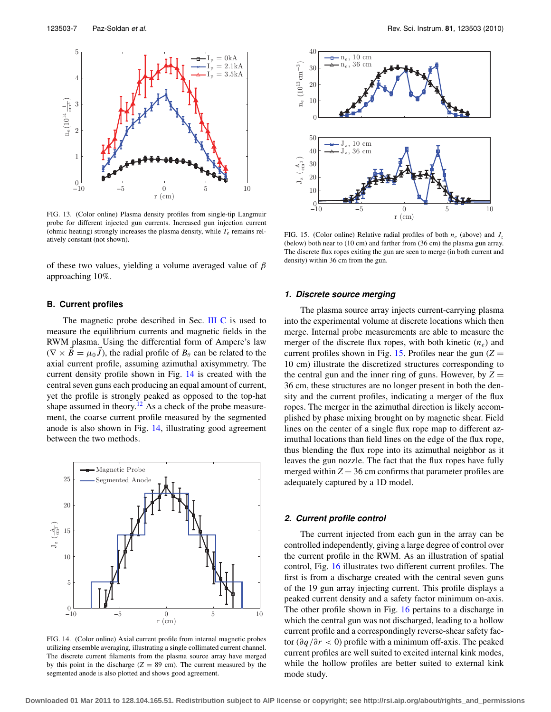<span id="page-6-0"></span>

FIG. 13. (Color online) Plasma density profiles from single-tip Langmuir probe for different injected gun currents. Increased gun injection current (ohmic heating) strongly increases the plasma density, while  $T_e$  remains relatively constant (not shown).

of these two values, yielding a volume averaged value of  $\beta$ approaching 10%.

#### **B. Current profiles**

The magnetic probe described in Sec. [III](#page-4-0) [C](#page-4-3) is used to measure the equilibrium currents and magnetic fields in the RWM plasma. Using the differential form of Ampere's law  $(\nabla \times \vec{B} = \mu_0 \vec{J})$ , the radial profile of  $B_\theta$  can be related to the axial current profile, assuming azimuthal axisymmetry. The current density profile shown in Fig. [14](#page-6-1) is created with the central seven guns each producing an equal amount of current, yet the profile is strongly peaked as opposed to the top-hat shape assumed in theory.<sup>[12](#page-8-11)</sup> As a check of the probe measurement, the coarse current profile measured by the segmented anode is also shown in Fig. [14,](#page-6-1) illustrating good agreement between the two methods.

<span id="page-6-1"></span>

FIG. 14. (Color online) Axial current profile from internal magnetic probes utilizing ensemble averaging, illustrating a single collimated current channel. The discrete current filaments from the plasma source array have merged by this point in the discharge  $(Z = 89 \text{ cm})$ . The current measured by the segmented anode is also plotted and shows good agreement.

<span id="page-6-2"></span>

FIG. 15. (Color online) Relative radial profiles of both  $n_e$  (above) and  $J_z$ (below) both near to (10 cm) and farther from (36 cm) the plasma gun array. The discrete flux ropes exiting the gun are seen to merge (in both current and density) within 36 cm from the gun.

#### **1. Discrete source merging**

The plasma source array injects current-carrying plasma into the experimental volume at discrete locations which then merge. Internal probe measurements are able to measure the merger of the discrete flux ropes, with both kinetic  $(n_e)$  and current profiles shown in Fig. [15.](#page-6-2) Profiles near the gun  $(Z =$ 10 cm) illustrate the discretized structures corresponding to the central gun and the inner ring of guns. However, by  $Z =$ 36 cm, these structures are no longer present in both the density and the current profiles, indicating a merger of the flux ropes. The merger in the azimuthal direction is likely accomplished by phase mixing brought on by magnetic shear. Field lines on the center of a single flux rope map to different azimuthal locations than field lines on the edge of the flux rope, thus blending the flux rope into its azimuthal neighbor as it leaves the gun nozzle. The fact that the flux ropes have fully merged within  $Z = 36$  cm confirms that parameter profiles are adequately captured by a 1D model.

## **2. Current profile control**

The current injected from each gun in the array can be controlled independently, giving a large degree of control over the current profile in the RWM. As an illustration of spatial control, Fig. [16](#page-7-1) illustrates two different current profiles. The first is from a discharge created with the central seven guns of the 19 gun array injecting current. This profile displays a peaked current density and a safety factor minimum on-axis. The other profile shown in Fig. [16](#page-7-1) pertains to a discharge in which the central gun was not discharged, leading to a hollow current profile and a correspondingly reverse-shear safety factor (∂*q*/∂*r* < 0) profile with a minimum off-axis. The peaked current profiles are well suited to excited internal kink modes, while the hollow profiles are better suited to external kink mode study.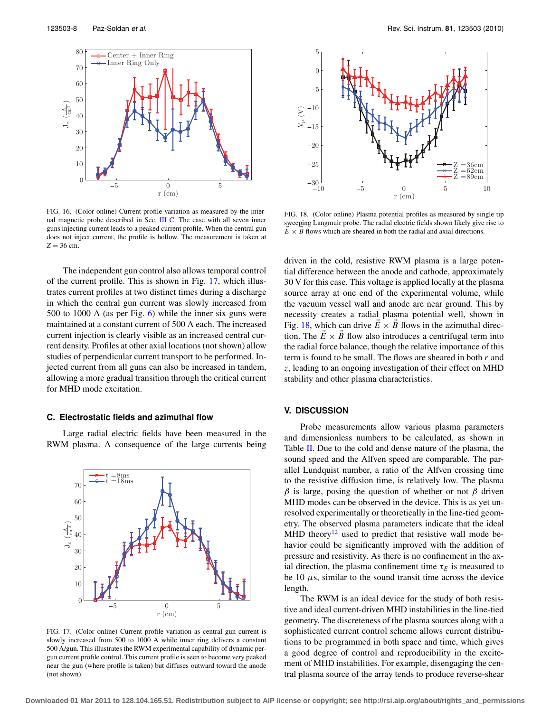<span id="page-7-1"></span>

FIG. 16. (Color online) Current profile variation as measured by the internal magnetic probe described in Sec. [III](#page-4-0) [C.](#page-4-3) The case with all seven inner guns injecting current leads to a peaked current profile. When the central gun does not inject current, the profile is hollow. The measurement is taken at  $Z = 36$  cm.

The independent gun control also allows temporal control of the current profile. This is shown in Fig. [17,](#page-7-2) which illustrates current profiles at two distinct times during a discharge in which the central gun current was slowly increased from 500 to 1000 A (as per Fig. [6\)](#page-3-0) while the inner six guns were maintained at a constant current of 500 A each. The increased current injection is clearly visible as an increased central current density. Profiles at other axial locations (not shown) allow studies of perpendicular current transport to be performed. Injected current from all guns can also be increased in tandem, allowing a more gradual transition through the critical current for MHD mode excitation.

#### **C. Electrostatic fields and azimuthal flow**

Large radial electric fields have been measured in the RWM plasma. A consequence of the large currents being

<span id="page-7-2"></span>

FIG. 17. (Color online) Current profile variation as central gun current is slowly increased from 500 to 1000 A while inner ring delivers a constant 500 A/gun. This illustrates the RWM experimental capability of dynamic pergun current profile control. This current profile is seen to become very peaked near the gun (where profile is taken) but diffuses outward toward the anode (not shown).

<span id="page-7-3"></span>

FIG. 18. (Color online) Plasma potential profiles as measured by single tip sweeping Langmuir probe. The radial electric fields shown likely give rise to  $\overrightarrow{E} \times \overrightarrow{B}$  flows which are sheared in both the radial and axial directions.

driven in the cold, resistive RWM plasma is a large potential difference between the anode and cathode, approximately 30 V for this case. This voltage is applied locally at the plasma source array at one end of the experimental volume, while the vacuum vessel wall and anode are near ground. This by necessity creates a radial plasma potential well, shown in Fig. [18,](#page-7-3) which can drive  $\vec{E} \times \vec{B}$  flows in the azimuthal direction. The  $E \times B$  flow also introduces a centrifugal term into the radial force balance, though the relative importance of this term is found to be small. The flows are sheared in both *r* and *z*, leading to an ongoing investigation of their effect on MHD stability and other plasma characteristics.

# <span id="page-7-0"></span>**V. DISCUSSION**

Probe measurements allow various plasma parameters and dimensionless numbers to be calculated, as shown in Table [II.](#page-8-18) Due to the cold and dense nature of the plasma, the sound speed and the Alfven speed are comparable. The parallel Lundquist number, a ratio of the Alfven crossing time to the resistive diffusion time, is relatively low. The plasma  $β$  is large, posing the question of whether or not  $β$  driven MHD modes can be observed in the device. This is as yet unresolved experimentally or theoretically in the line-tied geometry. The observed plasma parameters indicate that the ideal MHD theory<sup>12</sup> used to predict that resistive wall mode behavior could be significantly improved with the addition of pressure and resistivity. As there is no confinement in the axial direction, the plasma confinement time  $\tau_E$  is measured to be 10  $\mu$ s, similar to the sound transit time across the device length.

The RWM is an ideal device for the study of both resistive and ideal current-driven MHD instabilities in the line-tied geometry. The discreteness of the plasma sources along with a sophisticated current control scheme allows current distributions to be programmed in both space and time, which gives a good degree of control and reproducibility in the excitement of MHD instabilities. For example, disengaging the central plasma source of the array tends to produce reverse-shear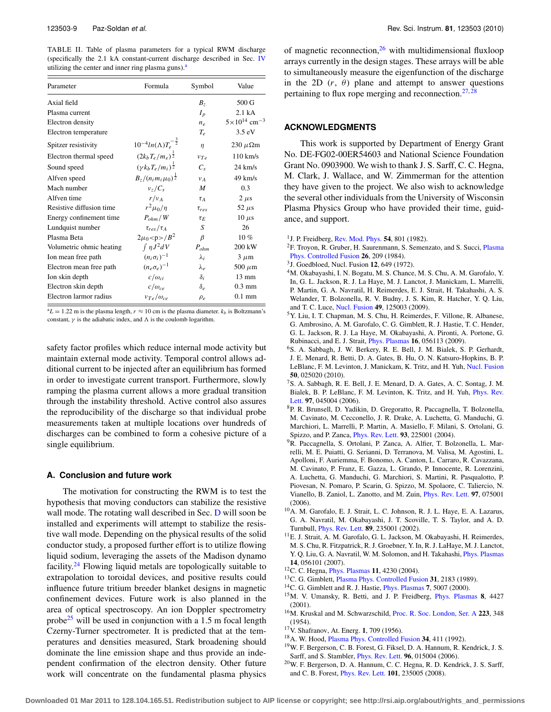<span id="page-8-18"></span>TABLE II. Table of plasma parameters for a typical RWM discharge (specifically the 2.1 kA constant-current discharge described in Sec. [IV](#page-5-0) utilizing the center and inner ring plasma guns).<sup>a</sup>

| Parameter                | Formula                                | Symbol           | Value                               |
|--------------------------|----------------------------------------|------------------|-------------------------------------|
| Axial field              |                                        | B <sub>z</sub>   | 500 G                               |
| Plasma current           |                                        | $I_p$            | 2.1 kA                              |
| Electron density         |                                        | $n_e$            | $5 \times 10^{14}$ cm <sup>-3</sup> |
| Electron temperature     |                                        | $T_e$            | $3.5 \text{ eV}$                    |
| Spitzer resistivity      | $10^{-4}ln(\Lambda)T_e^{-\frac{3}{2}}$ | $\eta$           | 230 $\mu \Omega$ m                  |
| Electron thermal speed   | $(2k_bT_e/m_e)^{\frac{1}{2}}$          | $v_{Te}$         | $110 \text{ km/s}$                  |
| Sound speed              | $(\gamma k_b T_e/m_i)^{\frac{1}{2}}$   | $C_{s}$          | $24 \text{ km/s}$                   |
| Alfven speed             | $B_z/(n_i m_i \mu_0)^{\frac{1}{2}}$    | $V_A$            | $49 \text{ km/s}$                   |
| Mach number              | $v_z/C_s$                              | M                | 0.3                                 |
| Alfven time              | $r/v_A$                                | $\tau_A$         | $2 \mu s$                           |
| Resistive diffusion time | $r^2\mu_0/\eta$                        | $\tau_{res}$     | 52 $\mu$ s                          |
| Energy confinement time  | $P_{ohm}$ / W                          | $\tau_E$         | $10 \mu s$                          |
| Lundquist number         | $\tau_{res}/\tau_A$                    | S                | 26                                  |
| Plasma Beta              | $2\mu_0 < p > B^2$                     | β                | 10%                                 |
| Volumetric ohmic heating | $\int \eta J^2 dV$                     | $P_{ohm}$        | 200 kW                              |
| Ion mean free path       | $(n_i \sigma_i)^{-1}$                  | $\lambda_i$      | $3 \mu m$                           |
| Electron mean free path  | $(n_e \sigma_e)^{-1}$                  | $\lambda_{\rho}$ | 500 $\mu$ m                         |
| Ion skin depth           | $c/\omega_{ci}$                        | $\delta_i$       | $13 \text{ mm}$                     |
| Electron skin depth      | $c/\omega_{ce}$                        | $\delta_e$       | $0.3 \text{ mm}$                    |
| Electron larmor radius   | $v_{Te}/\omega_{ce}$                   | $\rho_e$         | $0.1 \text{ mm}$                    |

<span id="page-8-19"></span> $a<sup>a</sup>L = 1.22$  m is the plasma length,  $r \approx 10$  cm is the plasma diameter.  $k_b$  is Boltzmann's constant,  $\gamma$  is the adiabatic index, and  $\Lambda$  is the coulomb logarithm.

safety factor profiles which reduce internal mode activity but maintain external mode activity. Temporal control allows additional current to be injected after an equilibrium has formed in order to investigate current transport. Furthermore, slowly ramping the plasma current allows a more gradual transition through the instability threshold. Active control also assures the reproducibility of the discharge so that individual probe measurements taken at multiple locations over hundreds of discharges can be combined to form a cohesive picture of a single equilibrium.

#### **A. Conclusion and future work**

The motivation for constructing the RWM is to test the hypothesis that moving conductors can stabilize the resistive wall mode. The rotating wall described in Sec. [D](#page-3-2) will soon be installed and experiments will attempt to stabilize the resistive wall mode. Depending on the physical results of the solid conductor study, a proposed further effort is to utilize flowing liquid sodium, leveraging the assets of the Madison dynamo facility.<sup>[24](#page-9-3)</sup> Flowing liquid metals are topologically suitable to extrapolation to toroidal devices, and positive results could influence future tritium breeder blanket designs in magnetic confinement devices. Future work is also planned in the area of optical spectroscopy. An ion Doppler spectrometry probe<sup>25</sup> will be used in conjunction with a 1.5 m focal length Czerny-Turner spectrometer. It is predicted that at the temperatures and densities measured, Stark broadening should dominate the line emission shape and thus provide an independent confirmation of the electron density. Other future work will concentrate on the fundamental plasma physics

of magnetic reconnection,  $^{26}$  with multidimensional fluxloop arrays currently in the design stages. These arrays will be able to simultaneously measure the eigenfunction of the discharge in the 2D  $(r, \theta)$  plane and attempt to answer questions pertaining to flux rope merging and reconnection. $27,28$  $27,28$ 

#### **ACKNOWLEDGMENTS**

This work is supported by Department of Energy Grant No. DE-FG02-00ER54603 and National Science Foundation Grant No. 0903900. We wish to thank J. S. Sarff, C. C. Hegna, M. Clark, J. Wallace, and W. Zimmerman for the attention they have given to the project. We also wish to acknowledge the several other individuals from the University of Wisconsin Plasma Physics Group who have provided their time, guidance, and support.

- <span id="page-8-1"></span><span id="page-8-0"></span>1J. P. Freidberg, [Rev. Mod. Phys.](http://dx.doi.org/10.1103/RevModPhys.54.801) **54**, 801 (1982).
- 2F. Troyon, R. Gruber, H. Saurenmann, S. Semenzato, and S. Succi, [Plasma](http://dx.doi.org/10.1088/0741-3335/26/1A/319) [Phys. Controlled Fusion](http://dx.doi.org/10.1088/0741-3335/26/1A/319) **26**, 209 (1984).
- <span id="page-8-3"></span><span id="page-8-2"></span>3J. Goedbloed, Nucl. Fusion **12**, 649 (1972).
- 4M. Okabayashi, I. N. Bogatu, M. S. Chance, M. S. Chu, A. M. Garofalo, Y. In, G. L. Jackson, R. J. La Haye, M. J. Lanctot, J. Manickam, L. Marrelli, P. Martin, G. A. Navratil, H. Reimerdes, E. J. Strait, H. Takahashi, A. S. Welander, T. Bolzonella, R. V. Budny, J. S. Kim, R. Hatcher, Y. Q. Liu, and T. C. Luce, [Nucl. Fusion](http://dx.doi.org/10.1088/0029-5515/49/12/125003) **49**, 125003 (2009).
- <span id="page-8-4"></span>5Y. Liu, I. T. Chapman, M. S. Chu, H. Reimerdes, F. Villone, R. Albanese, G. Ambrosino, A. M. Garofalo, C. G. Gimblett, R. J. Hastie, T. C. Hender, G. L. Jackson, R. J. La Haye, M. Okabayashi, A. Pironti, A. Portone, G. Rubinacci, and E. J. Strait, [Phys. Plasmas](http://dx.doi.org/10.1063/1.3123388) **16**, 056113 (2009).
- <span id="page-8-5"></span>6S. A. Sabbagh, J. W. Berkery, R. E. Bell, J. M. Bialek, S. P. Gerhardt, J. E. Menard, R. Betti, D. A. Gates, B. Hu, O. N. Katsuro-Hopkins, B. P. LeBlanc, F. M. Levinton, J. Manickam, K. Tritz, and H. Yuh, [Nucl. Fusion](http://dx.doi.org/10.1088/0029-5515/50/2/025020) **50**, 025020 (2010).
- <span id="page-8-6"></span>7S. A. Sabbagh, R. E. Bell, J. E. Menard, D. A. Gates, A. C. Sontag, J. M. Bialek, B. P. LeBlanc, F. M. Levinton, K. Tritz, and H. Yuh, [Phys. Rev.](http://dx.doi.org/10.1103/PhysRevLett.97.045004) [Lett.](http://dx.doi.org/10.1103/PhysRevLett.97.045004) **97**, 045004 (2006).
- <span id="page-8-7"></span>8P. R. Brunsell, D. Yadikin, D. Gregoratto, R. Paccagnella, T. Bolzonella, M. Cavinato, M. Cecconello, J. R. Drake, A. Luchetta, G. Manduchi, G. Marchiori, L. Marrelli, P. Martin, A. Masiello, F. Milani, S. Ortolani, G. Spizzo, and P. Zanca, [Phys. Rev. Lett.](http://dx.doi.org/10.1103/PhysRevLett.93.225001) **93**, 225001 (2004).
- <span id="page-8-8"></span>9R. Paccagnella, S. Ortolani, P. Zanca, A. Alfier, T. Bolzonella, L. Marrelli, M. E. Puiatti, G. Serianni, D. Terranova, M. Valisa, M. Agostini, L. Apolloni, F. Auriemma, F. Bonomo, A. Canton, L. Carraro, R. Cavazzana, M. Cavinato, P. Franz, E. Gazza, L. Grando, P. Innocente, R. Lorenzini, A. Luchetta, G. Manduchi, G. Marchiori, S. Martini, R. Pasqualotto, P. Piovesan, N. Pomaro, P. Scarin, G. Spizzo, M. Spolaore, C. Taliercio, N. Vianello, B. Zaniol, L. Zanotto, and M. Zuin, [Phys. Rev. Lett.](http://dx.doi.org/10.1103/PhysRevLett.97.075001) **97**, 075001  $(2006)$
- <span id="page-8-9"></span>10A. M. Garofalo, E. J. Strait, L. C. Johnson, R. J. L. Haye, E. A. Lazarus, G. A. Navratil, M. Okabayashi, J. T. Scoville, T. S. Taylor, and A. D. Turnbull, [Phys. Rev. Lett.](http://dx.doi.org/10.1103/PhysRevLett.89.235001) **89**, 235001 (2002).
- <span id="page-8-10"></span><sup>11</sup>E. J. Strait, A. M. Garofalo, G. L. Jackson, M. Okabayashi, H. Reimerdes, M. S. Chu, R. Fitzpatrick, R. J. Groebner, Y. In, R. J. LaHaye, M. J. Lanctot, Y. Q. Liu, G. A. Navratil, W. M. Solomon, and H. Takahashi, [Phys. Plasmas](http://dx.doi.org/10.1063/1.2472599) **14**, 056101 (2007).
- <span id="page-8-11"></span>12C. C. Hegna, [Phys. Plasmas](http://dx.doi.org/10.1063/1.1773777) **11**, 4230 (2004).
- 13C. G. Gimblett, [Plasma Phys. Controlled Fusion](http://dx.doi.org/10.1088/0741-3335/31/14/008) **31**, 2183 (1989).
- <span id="page-8-12"></span>14C. G. Gimblett and R. J. Hastie, [Phys. Plasmas](http://dx.doi.org/10.1063/1.1319333) **7**, 5007 (2000).
- 15M. V. Umansky, R. Betti, and J. P. Freidberg, [Phys. Plasmas](http://dx.doi.org/10.1063/1.1399328) **8**, 4427 (2001).
- <span id="page-8-13"></span>16M. Kruskal and M. Schwarzschild, [Proc. R. Soc. London, Ser. A](http://dx.doi.org/10.1098/rspa.1954.0120) **223**, 348 (1954).
- <span id="page-8-15"></span><span id="page-8-14"></span>17V. Shafranov, At. Energ. **1**, 709 (1956).
- <span id="page-8-16"></span>18A. W. Hood, [Plasma Phys. Controlled Fusion](http://dx.doi.org/10.1016/0741-3335(92)90156-Z) **34**, 411 (1992).
- 19W. F. Bergerson, C. B. Forest, G. Fiksel, D. A. Hannum, R. Kendrick, J. S. Sarff, and S. Stambler, [Phys. Rev. Lett.](http://dx.doi.org/10.1103/PhysRevLett.96.015004) **96**, 015004 (2006).
- <span id="page-8-17"></span>20W. F. Bergerson, D. A. Hannum, C. C. Hegna, R. D. Kendrick, J. S. Sarff, and C. B. Forest, [Phys. Rev. Lett.](http://dx.doi.org/10.1103/PhysRevLett.101.235005) **101**, 235005 (2008).